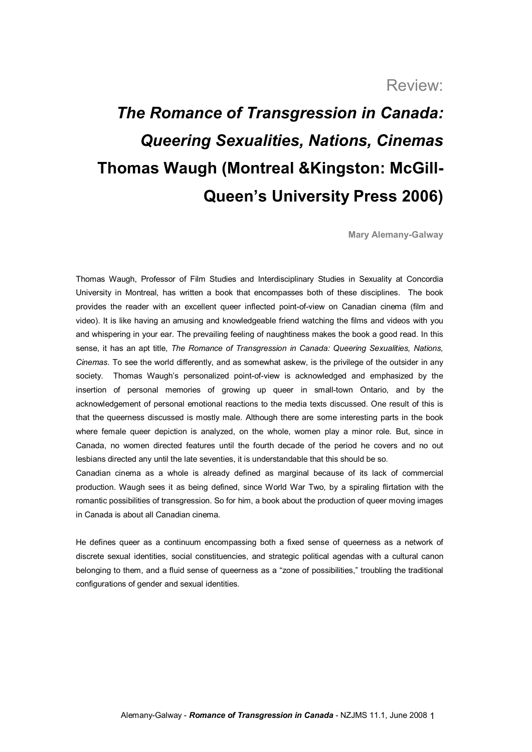## Review:

## *The Romance of Transgression in Canada: Queering Sexualities, Nations, Cinemas* **Thomas Waugh (Montreal &Kingston: McGill Queen's University Press 2006)**

**Mary Alemany-Galway** 

Thomas Waugh, Professor of Film Studies and Interdisciplinary Studies in Sexuality at Concordia University in Montreal, has written a book that encompasses both of these disciplines. The book provides the reader with an excellent queer inflected point-of-view on Canadian cinema (film and video). It is like having an amusing and knowledgeable friend watching the films and videos with you and whispering in your ear. The prevailing feeling of naughtiness makes the book a good read. In this sense, it has an apt title, *The Romance of Transgression in Canada: Queering Sexualities, Nations, Cinemas*. To see the world differently, and as somewhat askew, is the privilege of the outsider in any society. Thomas Waugh's personalized point-of-view is acknowledged and emphasized by the insertion of personal memories of growing up queer in small-town Ontario, and by the acknowledgement of personal emotional reactions to the media texts discussed. One result of this is that the queerness discussed is mostly male. Although there are some interesting parts in the book where female queer depiction is analyzed, on the whole, women play a minor role. But, since in Canada, no women directed features until the fourth decade of the period he covers and no out lesbians directed any until the late seventies, it is understandable that this should be so.

Canadian cinema as a whole is already defined as marginal because of its lack of commercial production. Waugh sees it as being defined, since World War Two, by a spiraling flirtation with the romantic possibilities of transgression. So for him, a book about the production of queer moving images in Canada is about all Canadian cinema.

He defines queer as a continuum encompassing both a fixed sense of queerness as a network of discrete sexual identities, social constituencies, and strategic political agendas with a cultural canon belonging to them, and a fluid sense of queerness as a "zone of possibilities," troubling the traditional configurations of gender and sexual identities.